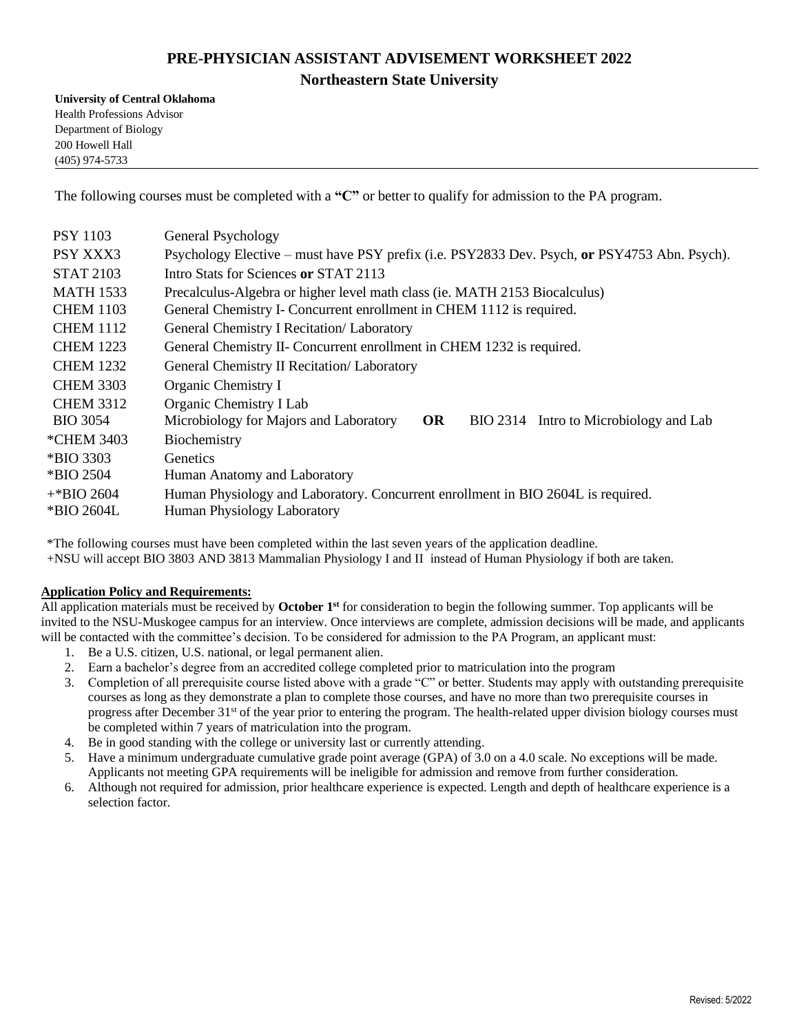## **PRE-PHYSICIAN ASSISTANT ADVISEMENT WORKSHEET 2022 Northeastern State University**

**University of Central Oklahoma** Health Professions Advisor Department of Biology 200 Howell Hall (405) 974-5733

The following courses must be completed with a **"C"** or better to qualify for admission to the PA program.

| <b>PSY 1103</b>  | General Psychology                                                                            |
|------------------|-----------------------------------------------------------------------------------------------|
| PSY XXX3         | Psychology Elective - must have PSY prefix (i.e. PSY2833 Dev. Psych, or PSY4753 Abn. Psych).  |
| <b>STAT 2103</b> | Intro Stats for Sciences or STAT 2113                                                         |
| <b>MATH 1533</b> | Precalculus-Algebra or higher level math class (ie. MATH 2153 Biocalculus)                    |
| <b>CHEM 1103</b> | General Chemistry I- Concurrent enrollment in CHEM 1112 is required.                          |
| <b>CHEM 1112</b> | General Chemistry I Recitation/ Laboratory                                                    |
| <b>CHEM 1223</b> | General Chemistry II- Concurrent enrollment in CHEM 1232 is required.                         |
| <b>CHEM 1232</b> | General Chemistry II Recitation/ Laboratory                                                   |
| <b>CHEM 3303</b> | Organic Chemistry I                                                                           |
| <b>CHEM 3312</b> | Organic Chemistry I Lab                                                                       |
| <b>BIO 3054</b>  | Microbiology for Majors and Laboratory<br><b>OR</b><br>BIO 2314 Intro to Microbiology and Lab |
| *CHEM 3403       | Biochemistry                                                                                  |
| *BIO 3303        | <b>Genetics</b>                                                                               |
| *BIO 2504        | Human Anatomy and Laboratory                                                                  |
| $+$ *BIO 2604    | Human Physiology and Laboratory. Concurrent enrollment in BIO 2604L is required.              |
| *BIO 2604L       | <b>Human Physiology Laboratory</b>                                                            |

\*The following courses must have been completed within the last seven years of the application deadline. +NSU will accept BIO 3803 AND 3813 Mammalian Physiology I and II instead of Human Physiology if both are taken.

## **Application Policy and Requirements:**

All application materials must be received by **October 1st** for consideration to begin the following summer. Top applicants will be invited to the NSU-Muskogee campus for an interview. Once interviews are complete, admission decisions will be made, and applicants will be contacted with the committee's decision. To be considered for admission to the PA Program, an applicant must:

- 1. Be a U.S. citizen, U.S. national, or legal permanent alien.
- 2. Earn a bachelor's degree from an accredited college completed prior to matriculation into the program
- 3. Completion of all prerequisite course listed above with a grade "C" or better. Students may apply with outstanding prerequisite courses as long as they demonstrate a plan to complete those courses, and have no more than two prerequisite courses in progress after December 31<sup>st</sup> of the year prior to entering the program. The health-related upper division biology courses must be completed within 7 years of matriculation into the program.
- 4. Be in good standing with the college or university last or currently attending.
- 5. Have a minimum undergraduate cumulative grade point average (GPA) of 3.0 on a 4.0 scale. No exceptions will be made. Applicants not meeting GPA requirements will be ineligible for admission and remove from further consideration.
- 6. Although not required for admission, prior healthcare experience is expected. Length and depth of healthcare experience is a selection factor.